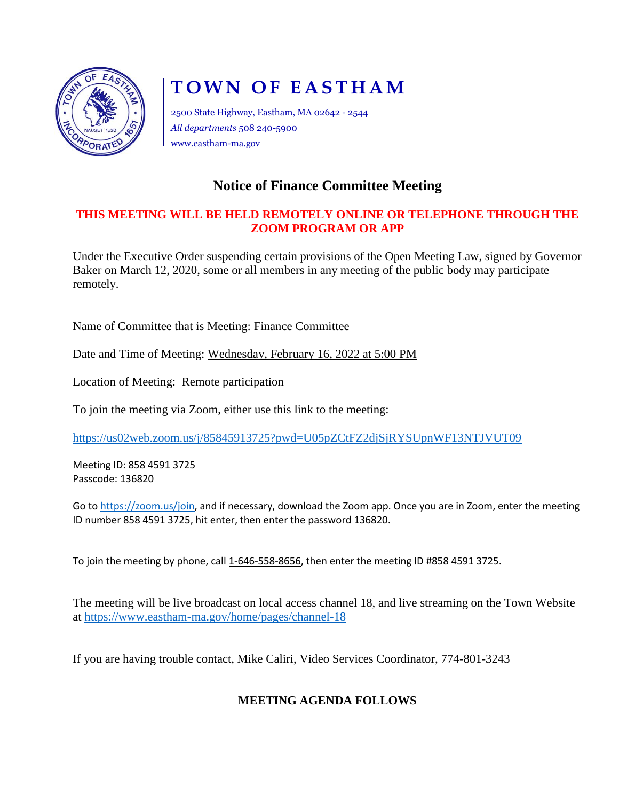

# **TOWN OF EASTHAM**

2500 State Highway, Eastham, MA 02642 - 2544 *All departments* 508 240-5900 www.eastham-ma.gov

## **Notice of Finance Committee Meeting**

#### **THIS MEETING WILL BE HELD REMOTELY ONLINE OR TELEPHONE THROUGH THE ZOOM PROGRAM OR APP**

Under the Executive Order suspending certain provisions of the Open Meeting Law, signed by Governor Baker on March 12, 2020, some or all members in any meeting of the public body may participate remotely.

Name of Committee that is Meeting: Finance Committee

Date and Time of Meeting: Wednesday, February 16, 2022 at 5:00 PM

Location of Meeting: Remote participation

To join the meeting via Zoom, either use this link to the meeting:

<https://us02web.zoom.us/j/85845913725?pwd=U05pZCtFZ2djSjRYSUpnWF13NTJVUT09>

Meeting ID: 858 4591 3725 Passcode: 136820

Go to [https://zoom.us/join,](https://zoom.us/join) and if necessary, download the Zoom app. Once you are in Zoom, enter the meeting ID number 858 4591 3725, hit enter, then enter the password 136820.

To join the meeting by phone, call 1-646-558-8656, then enter the meeting ID #858 4591 3725.

The meeting will be live broadcast on local access channel 18, and live streaming on the Town Website at<https://www.eastham-ma.gov/home/pages/channel-18>

If you are having trouble contact, Mike Caliri, Video Services Coordinator, 774-801-3243

### **MEETING AGENDA FOLLOWS**